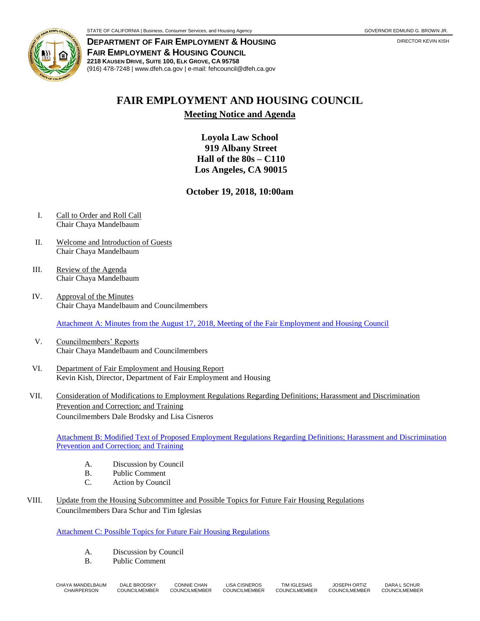

**DEPARTMENT OF FAIR EMPLOYMENT & HOUSING** DIRECTOR **ALLOWING DIRECTOR KEVIN KISH FAIR EMPLOYMENT & HOUSING COUNCIL 2218 KAUSEN DRIVE, SUITE 100, ELK GROVE, CA 95758** (916) 478-7248 | www.dfeh.ca.gov | e-mail: fehcouncil@dfeh.ca.gov

## **FAIR EMPLOYMENT AND HOUSING COUNCIL**

## **Meeting Notice and Agenda**

**Loyola Law School 919 Albany Street Hall of the 80s – C110 Los Angeles, CA 90015**

**October 19, 2018, 10:00am**

- I. Call to Order and Roll Call Chair Chaya Mandelbaum
- II. Welcome and Introduction of Guests Chair Chaya Mandelbaum
- III. Review of the Agenda Chair Chaya Mandelbaum
- IV. Approval of the Minutes Chair Chaya Mandelbaum and Councilmembers

[Attachment A: Minutes from the August 17, 2018, Meeting of the Fair Employment and Housing Council](https://www.dfeh.ca.gov/wp-content/uploads/sites/32/2018/10/AttachA-FEHCMinutes2018Aug17.pdf)

- V. Councilmembers' Reports Chair Chaya Mandelbaum and Councilmembers
- VI. Department of Fair Employment and Housing Report Kevin Kish, Director, Department of Fair Employment and Housing
- VII. Consideration of Modifications to Employment Regulations Regarding Definitions; Harassment and Discrimination Prevention and Correction; and Training Councilmembers Dale Brodsky and Lisa Cisneros

[Attachment B: Modified Text of Proposed Employment Regulations Regarding Definitions; Harassment and Discrimination](https://www.dfeh.ca.gov/wp-content/uploads/sites/32/2018/10/AttachB-ModText2018Oct19Meeting.pdf)  [Prevention and Correction; and Training](https://www.dfeh.ca.gov/wp-content/uploads/sites/32/2018/10/AttachB-ModText2018Oct19Meeting.pdf)

- A. Discussion by Council
- B. Public Comment
- C. Action by Council
- VIII. Update from the Housing Subcommittee and Possible Topics for Future Fair Housing Regulations Councilmembers Dara Schur and Tim Iglesias

[Attachment C: Possible Topics for Future Fair Housing Regulations](https://www.dfeh.ca.gov/wp-content/uploads/sites/32/2018/10/AttachC-PossibleTopics4-FutureFHR2018Oct19Meeting.pdf)

- A. Discussion by Council
- B. Public Comment

| CHAYA MANDELBAUM | DALE BRODSKY  | CONNIE CHAN   | <b>LISA CISNEROS</b> | TIM IGLESIAS  | <b>JOSEPH ORTIZ</b> | DARA L SCHUR |
|------------------|---------------|---------------|----------------------|---------------|---------------------|--------------|
| CHAIRPERSON      | COUNCILMEMBER | COUNCILMEMBER | COUNCILMEMBER        | COUNCILMEMBER | COUNCILMEMBER       | COUNCILMEMBE |